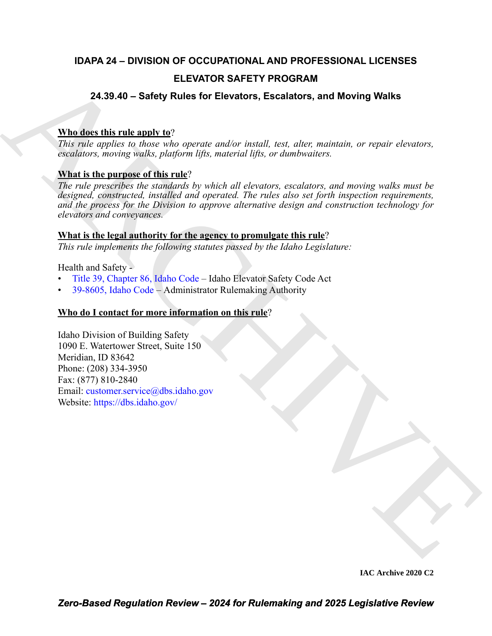# **IDAPA 24 – DIVISION OF OCCUPATIONAL AND PROFESSIONAL LICENSES ELEVATOR SAFETY PROGRAM**

# **24.39.40 – Safety Rules for Elevators, Escalators, and Moving Walks**

# **Who does this rule apply to**?

*This rule applies to those who operate and/or install, test, alter, maintain, or repair elevators, escalators, moving walks, platform lifts, material lifts, or dumbwaiters.*

### **What is the purpose of this rule**?

**ELEVATOR SAFETY PROGRAM**<br> **ELEVATOR SAFETY PROGRAM**<br> **[C](https://legislature.idaho.gov/statutesrules/idstat/Title39/T39CH86/)ALCONS** UNITED MANUAL INTERFACT CONTINUES TO EXPRESS THE CONTINUES TO THE CALCONSTANT CONTINUES TO the control of the control of the control of the control of the con *The rule prescribes the standards by which all elevators, escalators, and moving walks must be designed, constructed, installed and operated. The rules also set forth inspection requirements, and the process for the Division to approve alternative design and construction technology for elevators and conveyances.* 

### **What is the legal authority for the agency to promulgate this rule**?

*This rule implements the following statutes passed by the Idaho Legislature:*

Health and Safety -

- Title 39, Chapter 86, Idaho Code Idaho Elevator Safety Code Act
- 39-8605, Idaho Code Administrator Rulemaking Authority

## **Who do I contact for more information on this rule**?

Idaho Division of Building Safety 1090 E. Watertower Street, Suite 150 Meridian, ID 83642 Phone: (208) 334-3950 Fax: (877) 810-2840 Email: customer.service@dbs.idaho.gov Website: https://dbs.idaho.gov/

**IAC Archive 2020 C2**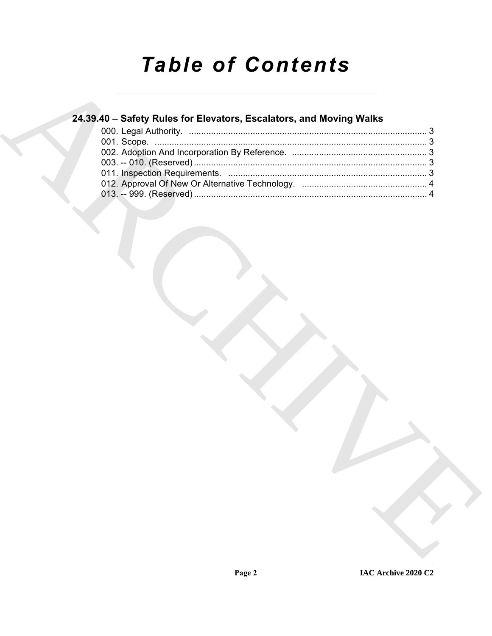# **Table of Contents**

# 24.39.40 - Safety Rules for Elevators, Escalators, and Moving Walks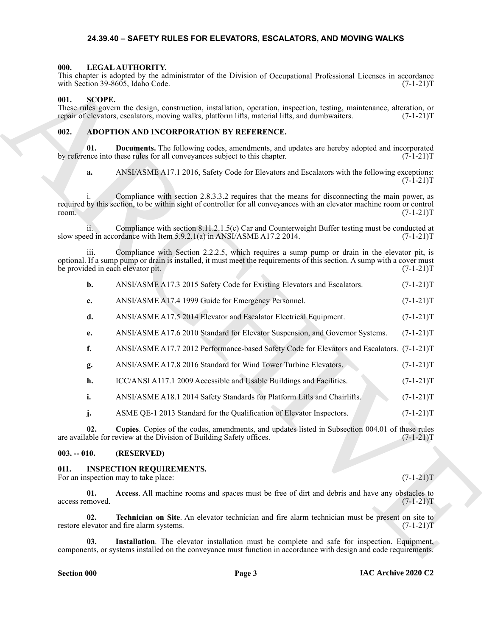#### <span id="page-2-11"></span>**24.39.40 – SAFETY RULES FOR ELEVATORS, ESCALATORS, AND MOVING WALKS**

#### <span id="page-2-1"></span><span id="page-2-0"></span>**000. LEGAL AUTHORITY.**

#### <span id="page-2-2"></span>**001. SCOPE.**

#### <span id="page-2-6"></span><span id="page-2-3"></span>**002. ADOPTION AND INCORPORATION BY REFERENCE.**

|                 |               | This chapter is adopted by the administrator of the Division of Occupational Professional Licenses in accordance<br>with Section 39-8605, Idaho Code.                                                                                                        | $(7-1-21)T$ |
|-----------------|---------------|--------------------------------------------------------------------------------------------------------------------------------------------------------------------------------------------------------------------------------------------------------------|-------------|
| 001.            | <b>SCOPE.</b> | These rules govern the design, construction, installation, operation, inspection, testing, maintenance, alteration, or<br>repair of elevators, escalators, moving walks, platform lifts, material lifts, and dumbwaiters.                                    | $(7-1-21)T$ |
| 002.            |               | ADOPTION AND INCORPORATION BY REFERENCE.                                                                                                                                                                                                                     |             |
|                 | 01.           | <b>Documents.</b> The following codes, amendments, and updates are hereby adopted and incorporated<br>by reference into these rules for all conveyances subject to this chapter.                                                                             | $(7-1-21)T$ |
| a.              |               | ANSI/ASME A17.1 2016, Safety Code for Elevators and Escalators with the following exceptions:                                                                                                                                                                | $(7-1-21)T$ |
| room.           |               | Compliance with section 2.8.3.3.2 requires that the means for disconnecting the main power, as<br>required by this section, to be within sight of controller for all conveyances with an elevator machine room or control                                    | $(7-1-21)T$ |
| 11.             |               | Compliance with section 8.11.2.1.5(c) Car and Counterweight Buffer testing must be conducted at<br>slow speed in accordance with Item 5.9.2.1(a) in ANSI/ASME A17.2 2014.                                                                                    | $(7-1-21)T$ |
|                 | 111.          | Compliance with Section 2.2.2.5, which requires a sump pump or drain in the elevator pit, is<br>optional. If a sump pump or drain is installed, it must meet the requirements of this section. A sump with a cover must<br>be provided in each elevator pit. | $(7-1-21)T$ |
| b.              |               | ANSI/ASME A17.3 2015 Safety Code for Existing Elevators and Escalators.                                                                                                                                                                                      | $(7-1-21)T$ |
| c.              |               | ANSI/ASME A17.4 1999 Guide for Emergency Personnel.                                                                                                                                                                                                          | $(7-1-21)T$ |
| d.              |               | ANSI/ASME A17.5 2014 Elevator and Escalator Electrical Equipment.                                                                                                                                                                                            | $(7-1-21)T$ |
| e.              |               | ANSI/ASME A17.6 2010 Standard for Elevator Suspension, and Governor Systems.                                                                                                                                                                                 | $(7-1-21)T$ |
| f.              |               | ANSI/ASME A17.7 2012 Performance-based Safety Code for Elevators and Escalators. (7-1-21)T                                                                                                                                                                   |             |
| g.              |               | ANSI/ASME A17.8 2016 Standard for Wind Tower Turbine Elevators.                                                                                                                                                                                              | $(7-1-21)T$ |
| h.              |               | ICC/ANSI A117.1 2009 Accessible and Usable Buildings and Facilities.                                                                                                                                                                                         | $(7-1-21)T$ |
| i.              |               | ANSI/ASME A18.1 2014 Safety Standards for Platform Lifts and Chairlifts.                                                                                                                                                                                     | $(7-1-21)T$ |
| j.              |               | ASME QE-1 2013 Standard for the Qualification of Elevator Inspectors.                                                                                                                                                                                        | $(7-1-21)T$ |
|                 | 02.           | Copies. Copies of the codes, amendments, and updates listed in Subsection 004.01 of these rules<br>are available for review at the Division of Building Safety offices.                                                                                      | $(7-1-21)T$ |
| $003. - 010.$   |               | (RESERVED)                                                                                                                                                                                                                                                   |             |
| 011.            |               | <b>INSPECTION REQUIREMENTS.</b><br>For an inspection may to take place:                                                                                                                                                                                      | $(7-1-21)T$ |
| access removed. | 01.           | Access. All machine rooms and spaces must be free of dirt and debris and have any obstacles to                                                                                                                                                               | $(7-1-21)T$ |
|                 | 02.           | Technician on Site. An elevator technician and fire alarm technician must be present on site to<br>restore elevator and fire alarm systems.                                                                                                                  | $(7-1-21)T$ |
|                 | 03.           | Installation. The elevator installation must be complete and safe for inspection. Equipment,<br>components, or systems installed on the conveyance must function in accordance with design and code requirements.                                            |             |

#### <span id="page-2-4"></span>**003. -- 010. (RESERVED)**

#### <span id="page-2-10"></span><span id="page-2-9"></span><span id="page-2-8"></span><span id="page-2-7"></span><span id="page-2-5"></span>**011. INSPECTION REQUIREMENTS.**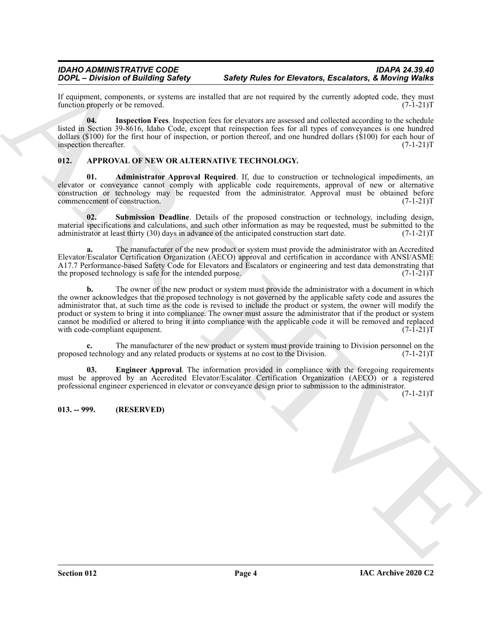# *IDAHO ADMINISTRATIVE CODE IDAPA 24.39.40*

If equipment, components, or systems are installed that are not required by the currently adopted code, they must function properly or be removed. function properly or be removed.

<span id="page-3-6"></span>**04. Inspection Fees**. Inspection fees for elevators are assessed and collected according to the schedule listed in Section 39-8616, Idaho Code, except that reinspection fees for all types of conveyances is one hundred dollars (\$100) for the first hour of inspection, or portion thereof, and one hundred dollars (\$100) for each hour of inspection thereafter.  $(7-1-21)T$ inspection thereafter.

#### <span id="page-3-2"></span><span id="page-3-0"></span>**012. APPROVAL OF NEW OR ALTERNATIVE TECHNOLOGY.**

<span id="page-3-3"></span>**01. Administrator Approval Required**. If, due to construction or technological impediments, an elevator or conveyance cannot comply with applicable code requirements, approval of new or alternative construction or technology may be requested from the administrator. Approval must be obtained before commencement of construction. (7-1-21)T

<span id="page-3-5"></span>**02. Submission Deadline**. Details of the proposed construction or technology, including design, material specifications and calculations, and such other information as may be requested, must be submitted to the administrator at least thirty (30) days in advance of the anticipated construction start date.  $(7-1-21)T$ administrator at least thirty (30) days in advance of the anticipated construction start date.

**a.** The manufacturer of the new product or system must provide the administrator with an Accredited Elevator/Escalator Certification Organization (AECO) approval and certification in accordance with ANSI/ASME A17.7 Performance-based Safety Code for Elevators and Escalators or engineering and test data demonstrating that the proposed technology is safe for the intended purpose. (7-1-21)T

**2004** - Division of Building Salety<br>  $\mu$  - Division of Building Salety<br>  $\mu$  - Division of Building Salety<br>
Linearcounter and the state of the state of the state of the state of the state of the state of the state of th **b.** The owner of the new product or system must provide the administrator with a document in which the owner acknowledges that the proposed technology is not governed by the applicable safety code and assures the administrator that, at such time as the code is revised to include the product or system, the owner will modify the product or system to bring it into compliance. The owner must assure the administrator that if the product or system cannot be modified or altered to bring it into compliance with the applicable code it will be removed and replaced with code-compliant equipment.

**c.** The manufacturer of the new product or system must provide training to Division personnel on the leader technology and any related products or systems at no cost to the Division. (7-1-21) proposed technology and any related products or systems at no cost to the Division.

<span id="page-3-4"></span>**03.** Engineer Approval. The information provided in compliance with the foregoing requirements must be approved by an Accredited Elevator/Escalator Certification Organization (AECO) or a registered professional engineer experienced in elevator or conveyance design prior to submission to the administrator.

 $(7-1-21)T$ 

#### <span id="page-3-1"></span>**013. -- 999. (RESERVED)**